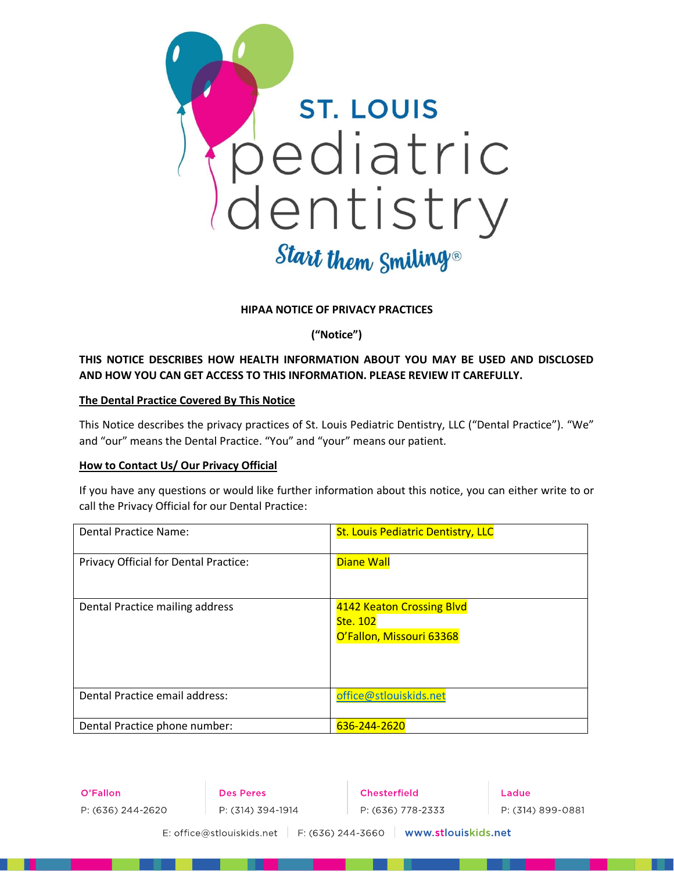

#### **HIPAA NOTICE OF PRIVACY PRACTICES**

**("Notice")**

# **THIS NOTICE DESCRIBES HOW HEALTH INFORMATION ABOUT YOU MAY BE USED AND DISCLOSED AND HOW YOU CAN GET ACCESS TO THIS INFORMATION. PLEASE REVIEW IT CAREFULLY.**

#### **The Dental Practice Covered By This Notice**

This Notice describes the privacy practices of St. Louis Pediatric Dentistry, LLC ("Dental Practice"). "We" and "our" means the Dental Practice. "You" and "your" means our patient.

#### **How to Contact Us/ Our Privacy Official**

If you have any questions or would like further information about this notice, you can either write to or call the Privacy Official for our Dental Practice:

| <b>Dental Practice Name:</b>          | <b>St. Louis Pediatric Dentistry, LLC</b>                         |
|---------------------------------------|-------------------------------------------------------------------|
| Privacy Official for Dental Practice: | <b>Diane Wall</b>                                                 |
| Dental Practice mailing address       | 4142 Keaton Crossing Blvd<br>Ste. 102<br>O'Fallon, Missouri 63368 |
| Dental Practice email address:        | office@stlouiskids.net                                            |
| Dental Practice phone number:         | 636-244-2620                                                      |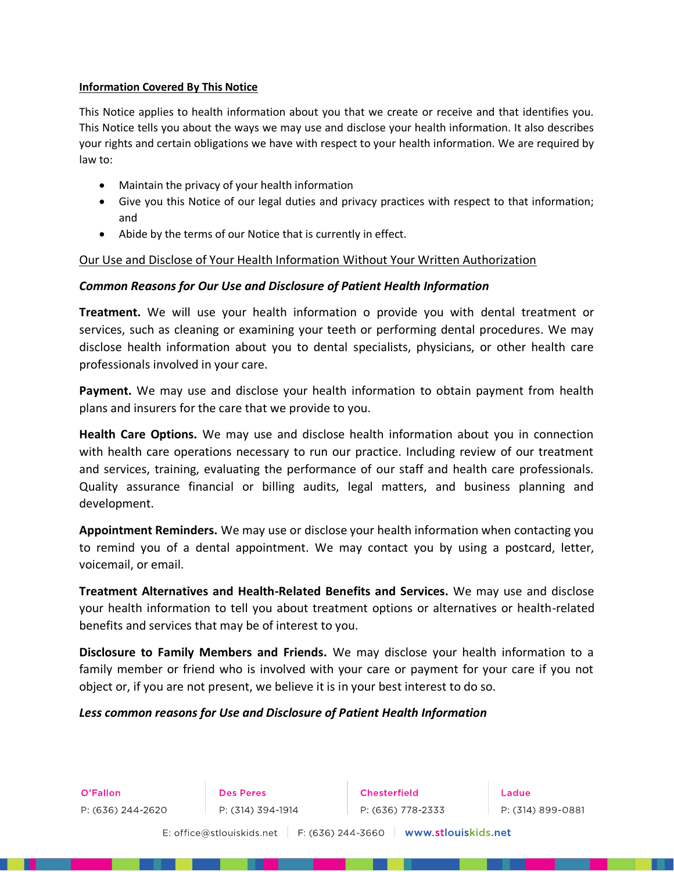#### **Information Covered By This Notice**

This Notice applies to health information about you that we create or receive and that identifies you. This Notice tells you about the ways we may use and disclose your health information. It also describes your rights and certain obligations we have with respect to your health information. We are required by law to:

- Maintain the privacy of your health information
- Give you this Notice of our legal duties and privacy practices with respect to that information; and
- Abide by the terms of our Notice that is currently in effect.

## Our Use and Disclose of Your Health Information Without Your Written Authorization

## *Common Reasons for Our Use and Disclosure of Patient Health Information*

**Treatment.** We will use your health information o provide you with dental treatment or services, such as cleaning or examining your teeth or performing dental procedures. We may disclose health information about you to dental specialists, physicians, or other health care professionals involved in your care.

**Payment.** We may use and disclose your health information to obtain payment from health plans and insurers for the care that we provide to you.

**Health Care Options.** We may use and disclose health information about you in connection with health care operations necessary to run our practice. Including review of our treatment and services, training, evaluating the performance of our staff and health care professionals. Quality assurance financial or billing audits, legal matters, and business planning and development.

**Appointment Reminders.** We may use or disclose your health information when contacting you to remind you of a dental appointment. We may contact you by using a postcard, letter, voicemail, or email.

**Treatment Alternatives and Health-Related Benefits and Services.** We may use and disclose your health information to tell you about treatment options or alternatives or health-related benefits and services that may be of interest to you.

**Disclosure to Family Members and Friends.** We may disclose your health information to a family member or friend who is involved with your care or payment for your care if you not object or, if you are not present, we believe it is in your best interest to do so.

#### *Less common reasons for Use and Disclosure of Patient Health Information*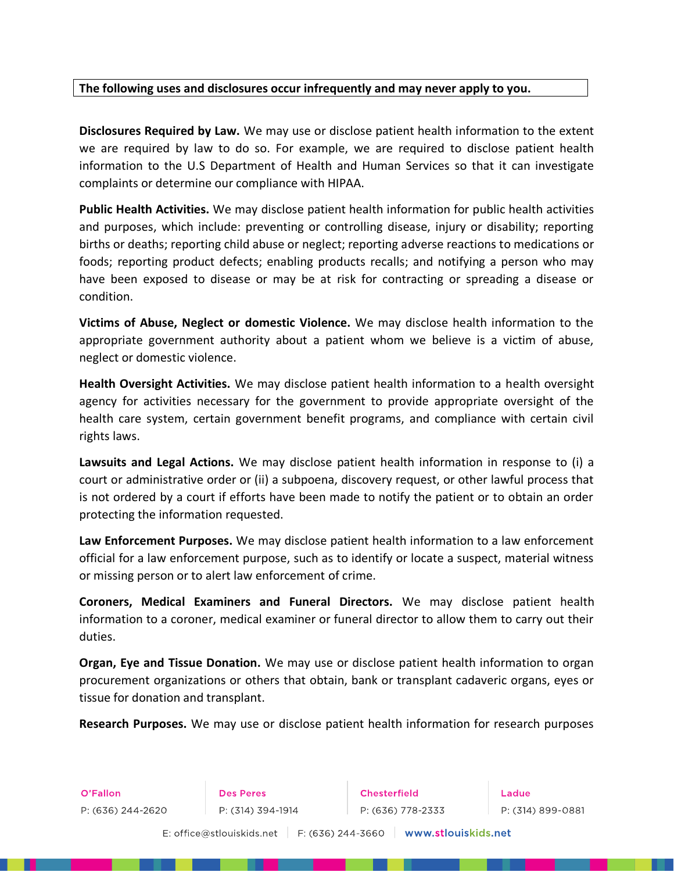# **The following uses and disclosures occur infrequently and may never apply to you.**

**Disclosures Required by Law.** We may use or disclose patient health information to the extent we are required by law to do so. For example, we are required to disclose patient health information to the U.S Department of Health and Human Services so that it can investigate complaints or determine our compliance with HIPAA.

**Public Health Activities.** We may disclose patient health information for public health activities and purposes, which include: preventing or controlling disease, injury or disability; reporting births or deaths; reporting child abuse or neglect; reporting adverse reactions to medications or foods; reporting product defects; enabling products recalls; and notifying a person who may have been exposed to disease or may be at risk for contracting or spreading a disease or condition.

**Victims of Abuse, Neglect or domestic Violence.** We may disclose health information to the appropriate government authority about a patient whom we believe is a victim of abuse, neglect or domestic violence.

**Health Oversight Activities.** We may disclose patient health information to a health oversight agency for activities necessary for the government to provide appropriate oversight of the health care system, certain government benefit programs, and compliance with certain civil rights laws.

**Lawsuits and Legal Actions.** We may disclose patient health information in response to (i) a court or administrative order or (ii) a subpoena, discovery request, or other lawful process that is not ordered by a court if efforts have been made to notify the patient or to obtain an order protecting the information requested.

**Law Enforcement Purposes.** We may disclose patient health information to a law enforcement official for a law enforcement purpose, such as to identify or locate a suspect, material witness or missing person or to alert law enforcement of crime.

**Coroners, Medical Examiners and Funeral Directors.** We may disclose patient health information to a coroner, medical examiner or funeral director to allow them to carry out their duties.

**Organ, Eye and Tissue Donation.** We may use or disclose patient health information to organ procurement organizations or others that obtain, bank or transplant cadaveric organs, eyes or tissue for donation and transplant.

**Research Purposes.** We may use or disclose patient health information for research purposes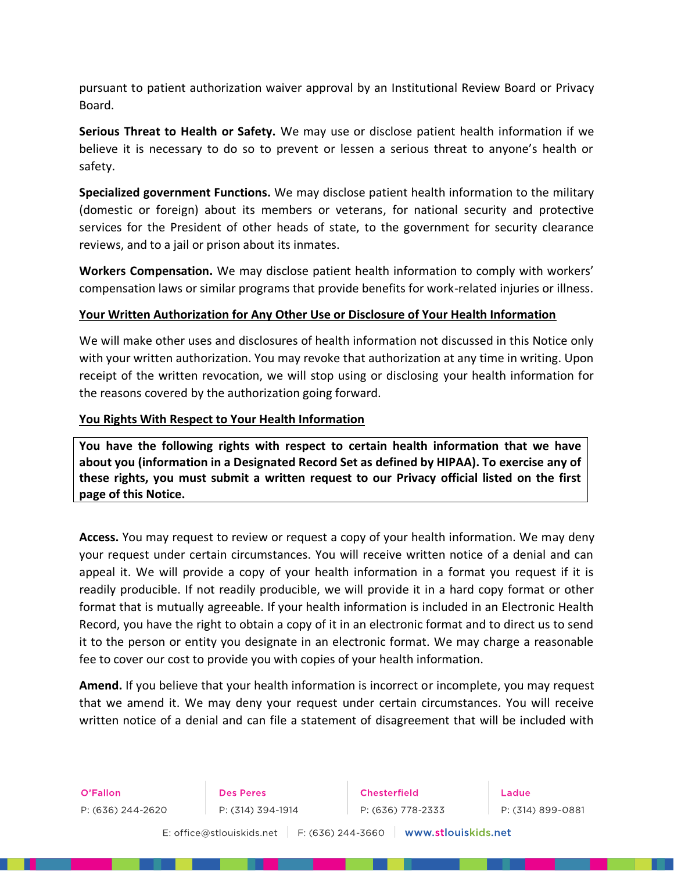pursuant to patient authorization waiver approval by an Institutional Review Board or Privacy Board.

**Serious Threat to Health or Safety.** We may use or disclose patient health information if we believe it is necessary to do so to prevent or lessen a serious threat to anyone's health or safety.

**Specialized government Functions.** We may disclose patient health information to the military (domestic or foreign) about its members or veterans, for national security and protective services for the President of other heads of state, to the government for security clearance reviews, and to a jail or prison about its inmates.

**Workers Compensation.** We may disclose patient health information to comply with workers' compensation laws or similar programs that provide benefits for work-related injuries or illness.

# **Your Written Authorization for Any Other Use or Disclosure of Your Health Information**

We will make other uses and disclosures of health information not discussed in this Notice only with your written authorization. You may revoke that authorization at any time in writing. Upon receipt of the written revocation, we will stop using or disclosing your health information for the reasons covered by the authorization going forward.

## **You Rights With Respect to Your Health Information**

**You have the following rights with respect to certain health information that we have about you (information in a Designated Record Set as defined by HIPAA). To exercise any of these rights, you must submit a written request to our Privacy official listed on the first page of this Notice.**

**Access.** You may request to review or request a copy of your health information. We may deny your request under certain circumstances. You will receive written notice of a denial and can appeal it. We will provide a copy of your health information in a format you request if it is readily producible. If not readily producible, we will provide it in a hard copy format or other format that is mutually agreeable. If your health information is included in an Electronic Health Record, you have the right to obtain a copy of it in an electronic format and to direct us to send it to the person or entity you designate in an electronic format. We may charge a reasonable fee to cover our cost to provide you with copies of your health information.

**Amend.** If you believe that your health information is incorrect or incomplete, you may request that we amend it. We may deny your request under certain circumstances. You will receive written notice of a denial and can file a statement of disagreement that will be included with

O'Fallon P: (636) 244-2620

**Des Peres** P: (314) 394-1914

Chesterfield P: (636) 778-2333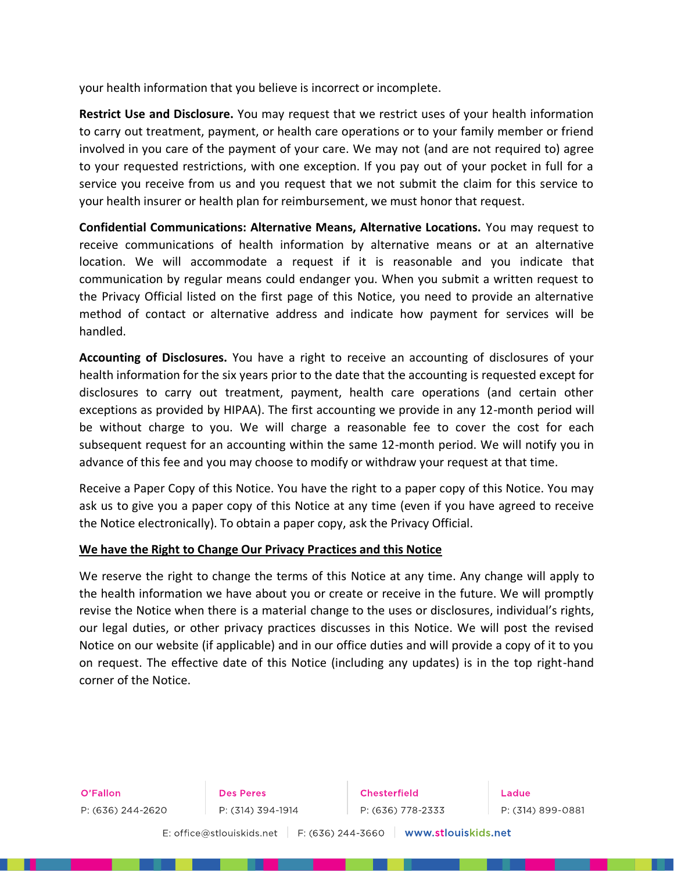your health information that you believe is incorrect or incomplete.

**Restrict Use and Disclosure.** You may request that we restrict uses of your health information to carry out treatment, payment, or health care operations or to your family member or friend involved in you care of the payment of your care. We may not (and are not required to) agree to your requested restrictions, with one exception. If you pay out of your pocket in full for a service you receive from us and you request that we not submit the claim for this service to your health insurer or health plan for reimbursement, we must honor that request.

**Confidential Communications: Alternative Means, Alternative Locations.** You may request to receive communications of health information by alternative means or at an alternative location. We will accommodate a request if it is reasonable and you indicate that communication by regular means could endanger you. When you submit a written request to the Privacy Official listed on the first page of this Notice, you need to provide an alternative method of contact or alternative address and indicate how payment for services will be handled.

**Accounting of Disclosures.** You have a right to receive an accounting of disclosures of your health information for the six years prior to the date that the accounting is requested except for disclosures to carry out treatment, payment, health care operations (and certain other exceptions as provided by HIPAA). The first accounting we provide in any 12-month period will be without charge to you. We will charge a reasonable fee to cover the cost for each subsequent request for an accounting within the same 12-month period. We will notify you in advance of this fee and you may choose to modify or withdraw your request at that time.

Receive a Paper Copy of this Notice. You have the right to a paper copy of this Notice. You may ask us to give you a paper copy of this Notice at any time (even if you have agreed to receive the Notice electronically). To obtain a paper copy, ask the Privacy Official.

#### **We have the Right to Change Our Privacy Practices and this Notice**

We reserve the right to change the terms of this Notice at any time. Any change will apply to the health information we have about you or create or receive in the future. We will promptly revise the Notice when there is a material change to the uses or disclosures, individual's rights, our legal duties, or other privacy practices discusses in this Notice. We will post the revised Notice on our website (if applicable) and in our office duties and will provide a copy of it to you on request. The effective date of this Notice (including any updates) is in the top right-hand corner of the Notice.